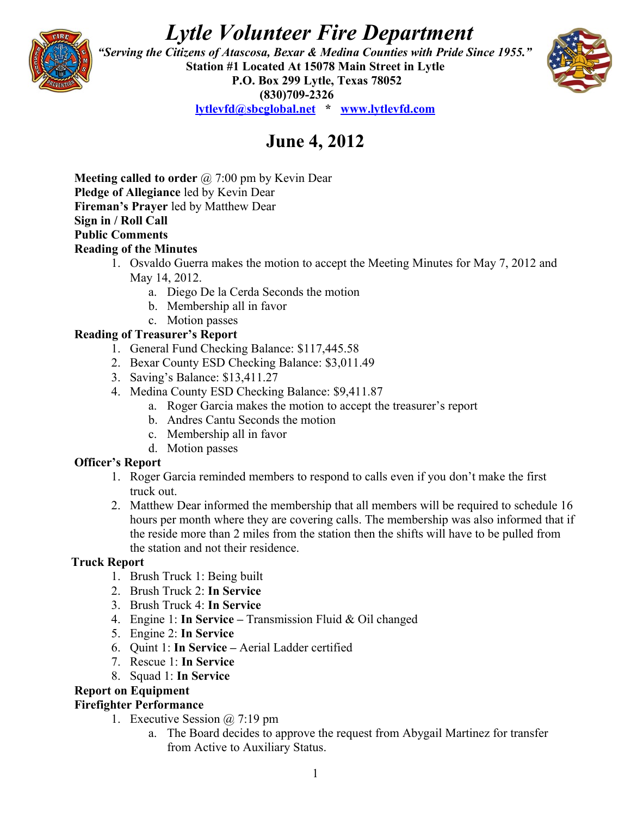# *Lytle Volunteer Fire Department*



 *"Serving the Citizens of Atascosa, Bexar & Medina Counties with Pride Since 1955."*  **Station #1 Located At 15078 Main Street in Lytle P.O. Box 299 Lytle, Texas 78052 (830)709-2326 [lytlevfd@sbcglobal.net](mailto:lytlevfd@sbcglobal.net) \* [www.lytlevfd.com](http://www.lytlevfd.com/)**



# **June 4, 2012**

**Meeting called to order** @ 7:00 pm by Kevin Dear **Pledge of Allegiance** led by Kevin Dear **Fireman's Prayer** led by Matthew Dear **Sign in / Roll Call Public Comments Reading of the Minutes**

- 1. Osvaldo Guerra makes the motion to accept the Meeting Minutes for May 7, 2012 and May 14, 2012.
	- a. Diego De la Cerda Seconds the motion
	- b. Membership all in favor
- c. Motion passes

# **Reading of Treasurer's Report**

- 1. General Fund Checking Balance: \$117,445.58
- 2. Bexar County ESD Checking Balance: \$3,011.49
- 3. Saving's Balance: \$13,411.27
- 4. Medina County ESD Checking Balance: \$9,411.87
	- a. Roger Garcia makes the motion to accept the treasurer's report
	- b. Andres Cantu Seconds the motion
	- c. Membership all in favor
	- d. Motion passes

# **Officer's Report**

- 1. Roger Garcia reminded members to respond to calls even if you don't make the first truck out.
- 2. Matthew Dear informed the membership that all members will be required to schedule 16 hours per month where they are covering calls. The membership was also informed that if the reside more than 2 miles from the station then the shifts will have to be pulled from the station and not their residence.

### **Truck Report**

- 1. Brush Truck 1: Being built
- 2. Brush Truck 2: **In Service**
- 3. Brush Truck 4: **In Service**
- 4. Engine 1: **In Service** Transmission Fluid & Oil changed
- 5. Engine 2: **In Service**
- 6. Quint 1: **In Service** Aerial Ladder certified
- 7. Rescue 1: **In Service**
- 8. Squad 1: **In Service**

# **Report on Equipment**

# **Firefighter Performance**

- 1. Executive Session @ 7:19 pm
	- a. The Board decides to approve the request from Abygail Martinez for transfer from Active to Auxiliary Status.